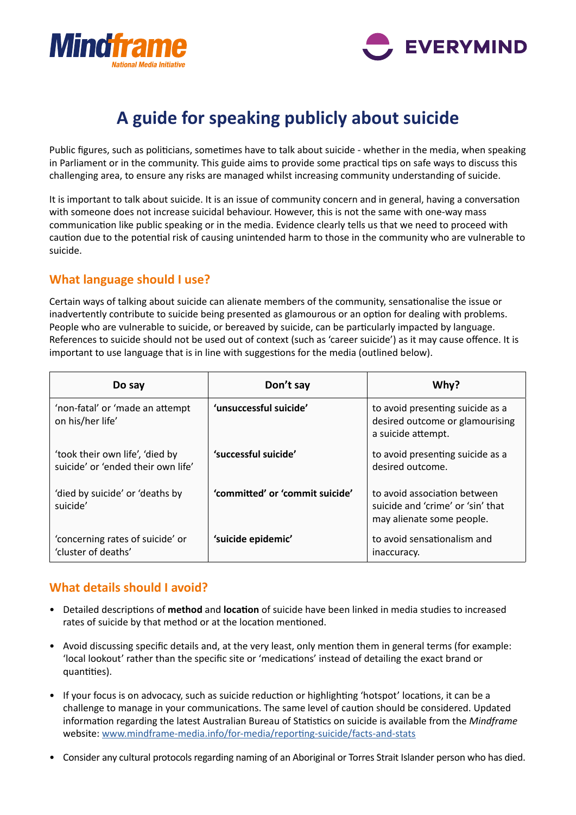



# **A guide for speaking publicly about suicide**

Public figures, such as politicians, sometimes have to talk about suicide - whether in the media, when speaking in Parliament or in the community. This guide aims to provide some practical tips on safe ways to discuss this challenging area, to ensure any risks are managed whilst increasing community understanding of suicide.

It is important to talk about suicide. It is an issue of community concern and in general, having a conversaton with someone does not increase suicidal behaviour. However, this is not the same with one-way mass communication like public speaking or in the media. Evidence clearly tells us that we need to proceed with caution due to the potential risk of causing unintended harm to those in the community who are vulnerable to suicide.

#### **What language should I use?**

Certain ways of talking about suicide can alienate members of the community, sensatonalise the issue or inadvertently contribute to suicide being presented as glamourous or an opton for dealing with problems. People who are vulnerable to suicide, or bereaved by suicide, can be particularly impacted by language. References to suicide should not be used out of context (such as 'career suicide') as it may cause ofence. It is important to use language that is in line with suggestons for the media (outlined below).

| Do say                                                                | Don't say                       | Why?                                                                                           |
|-----------------------------------------------------------------------|---------------------------------|------------------------------------------------------------------------------------------------|
| 'non-fatal' or 'made an attempt<br>on his/her life'                   | 'unsuccessful suicide'          | to avoid presenting suicide as a<br>desired outcome or glamourising<br>a suicide attempt.      |
| 'took their own life', 'died by<br>suicide' or 'ended their own life' | 'successful suicide'            | to avoid presenting suicide as a<br>desired outcome.                                           |
| 'died by suicide' or 'deaths by<br>suicide'                           | 'committed' or 'commit suicide' | to avoid association between<br>suicide and 'crime' or 'sin' that<br>may alienate some people. |
| 'concerning rates of suicide' or<br>'cluster of deaths'               | 'suicide epidemic'              | to avoid sensationalism and<br>inaccuracy.                                                     |

#### **What details should I avoid?**

- Detailed descriptons of **method** and **locaton** of suicide have been linked in media studies to increased rates of suicide by that method or at the location mentioned.
- Avoid discussing specifc details and, at the very least, only menton them in general terms (for example: 'local lookout' rather than the specifc site or 'medicatons' instead of detailing the exact brand or quantities).
- If your focus is on advocacy, such as suicide reduction or highlighting 'hotspot' locations, it can be a challenge to manage in your communications. The same level of caution should be considered. Updated information regarding the latest Australian Bureau of Statistics on suicide is available from the *Mindframe* website: www.mindframe-media.info/for-media/reporting-suicide/facts-and-stats
- Consider any cultural protocols regarding naming of an Aboriginal or Torres Strait Islander person who has died.